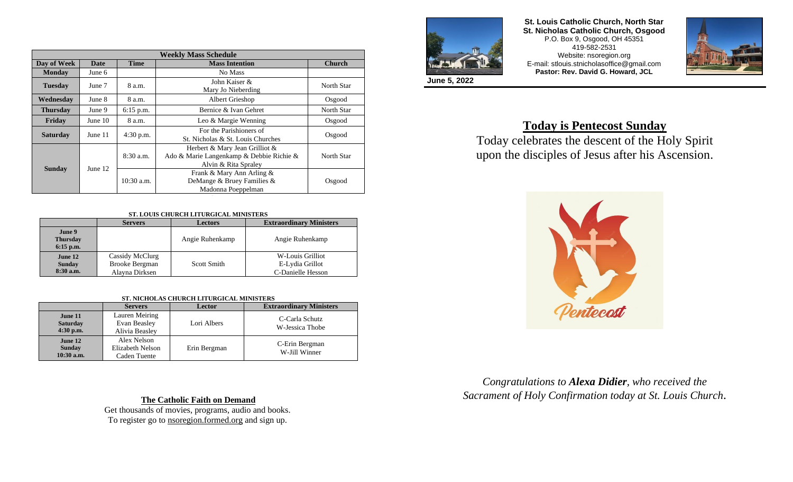| <b>Weekly Mass Schedule</b> |             |              |                                                                                                    |               |  |  |
|-----------------------------|-------------|--------------|----------------------------------------------------------------------------------------------------|---------------|--|--|
| Day of Week                 | <b>Date</b> | <b>Time</b>  | <b>Mass Intention</b>                                                                              | <b>Church</b> |  |  |
| <b>Monday</b>               | June 6      |              | No Mass                                                                                            |               |  |  |
| <b>Tuesday</b>              | June 7      | 8 a.m.       | John Kaiser &<br>Mary Jo Nieberding                                                                | North Star    |  |  |
| Wednesday                   | June 8      | 8 a.m.       | Albert Grieshop<br>Osgood                                                                          |               |  |  |
| <b>Thursday</b>             | June 9      | $6:15$ p.m.  | Bernice & Ivan Gehret                                                                              | North Star    |  |  |
| Friday                      | June $10$   | 8 a.m.       | Leo & Margie Wenning                                                                               | Osgood        |  |  |
| <b>Saturday</b>             | June 11     | 4:30 p.m.    | For the Parishioners of<br>St. Nicholas & St. Louis Churches                                       | Osgood        |  |  |
|                             | June 12     | $8:30$ a.m.  | Herbert & Mary Jean Grilliot &<br>Ado & Marie Langenkamp & Debbie Richie &<br>Alvin & Rita Spraley | North Star    |  |  |
| <b>Sunday</b>               |             | $10:30$ a.m. | Frank & Mary Ann Arling &<br>DeMange & Bruey Families &<br>Madonna Poeppelman                      | Osgood        |  |  |

#### **ST. LOUIS CHURCH LITURGICAL MINISTERS**

|                                          | <b>Servers</b>                                      | <b>Lectors</b>     | <b>Extraordinary Ministers</b>                           |  |  |  |
|------------------------------------------|-----------------------------------------------------|--------------------|----------------------------------------------------------|--|--|--|
| June 9<br><b>Thursday</b><br>$6:15$ p.m. |                                                     | Angie Ruhenkamp    | Angie Ruhenkamp                                          |  |  |  |
| June 12<br><b>Sunday</b><br>$8:30$ a.m.  | Cassidy McClurg<br>Brooke Bergman<br>Alavna Dirksen | <b>Scott Smith</b> | W-Louis Grilliot<br>E-Lydia Grillot<br>C-Danielle Hesson |  |  |  |

#### **ST. NICHOLAS CHURCH LITURGICAL MINISTERS**

|                                           | <b>Servers</b>                                   | Lector       | <b>Extraordinary Ministers</b>    |
|-------------------------------------------|--------------------------------------------------|--------------|-----------------------------------|
| June 11<br><b>Saturday</b><br>$4:30$ p.m. | Lauren Meiring<br>Evan Beasley<br>Alivia Beasley | Lori Albers  | C-Carla Schutz<br>W-Jessica Thobe |
| June 12<br><b>Sunday</b><br>10:30 a.m.    | Alex Nelson<br>Elizabeth Nelson<br>Caden Tuente  | Erin Bergman | C-Erin Bergman<br>W-Jill Winner   |

**The Catholic Faith on Demand**

Get thousands of movies, programs, audio and books. To register go to nsoregion.formed.org and sign up.



**St. Louis Catholic Church, North Star St. Nicholas Catholic Church, Osgood** P.O. Box 9, Osgood, OH 45351 419-582-2531 Website: nsoregion.org E-mail: stlouis.stnicholasoffice@gmail.com **Pastor: Rev. David G. Howard, JCL**



**June 5, 2022**

# **Today is Pentecost Sunday**

Today celebrates the descent of the Holy Spirit upon the disciples of Jesus after his Ascension.



*Congratulations to Alexa Didier, who received the Sacrament of Holy Confirmation today at St. Louis Church.*